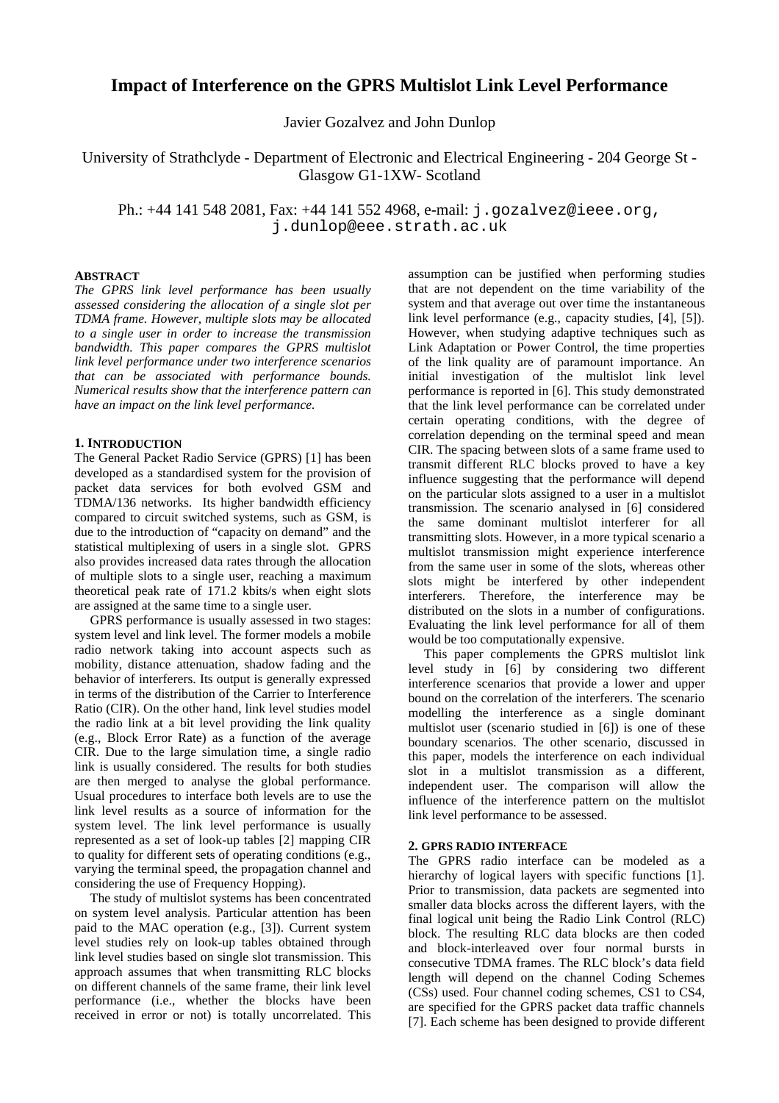# **Impact of Interference on the GPRS Multislot Link Level Performance**

Javier Gozalvez and John Dunlop

University of Strathclyde - Department of Electronic and Electrical Engineering - 204 George St - Glasgow G1-1XW- Scotland

Ph.: +44 141 548 2081, Fax: +44 141 552 4968, e-mail: j.gozalvez@ieee.org, j.dunlop@eee.strath.ac.uk

#### **ABSTRACT**

*The GPRS link level performance has been usually assessed considering the allocation of a single slot per TDMA frame. However, multiple slots may be allocated to a single user in order to increase the transmission bandwidth. This paper compares the GPRS multislot link level performance under two interference scenarios that can be associated with performance bounds. Numerical results show that the interference pattern can have an impact on the link level performance.*

## **1. INTRODUCTION**

The General Packet Radio Service (GPRS) [1] has been developed as a standardised system for the provision of packet data services for both evolved GSM and TDMA/136 networks. Its higher bandwidth efficiency compared to circuit switched systems, such as GSM, is due to the introduction of "capacity on demand" and the statistical multiplexing of users in a single slot. GPRS also provides increased data rates through the allocation of multiple slots to a single user, reaching a maximum theoretical peak rate of 171.2 kbits/s when eight slots are assigned at the same time to a single user.

GPRS performance is usually assessed in two stages: system level and link level. The former models a mobile radio network taking into account aspects such as mobility, distance attenuation, shadow fading and the behavior of interferers. Its output is generally expressed in terms of the distribution of the Carrier to Interference Ratio (CIR). On the other hand, link level studies model the radio link at a bit level providing the link quality (e.g., Block Error Rate) as a function of the average CIR. Due to the large simulation time, a single radio link is usually considered. The results for both studies are then merged to analyse the global performance. Usual procedures to interface both levels are to use the link level results as a source of information for the system level. The link level performance is usually represented as a set of look-up tables [2] mapping CIR to quality for different sets of operating conditions (e.g., varying the terminal speed, the propagation channel and considering the use of Frequency Hopping).

The study of multislot systems has been concentrated on system level analysis. Particular attention has been paid to the MAC operation (e.g., [3]). Current system level studies rely on look-up tables obtained through link level studies based on single slot transmission. This approach assumes that when transmitting RLC blocks on different channels of the same frame, their link level performance (i.e., whether the blocks have been received in error or not) is totally uncorrelated. This

assumption can be justified when performing studies that are not dependent on the time variability of the system and that average out over time the instantaneous link level performance (e.g., capacity studies, [4], [5]). However, when studying adaptive techniques such as Link Adaptation or Power Control, the time properties of the link quality are of paramount importance. An initial investigation of the multislot link level performance is reported in [6]. This study demonstrated that the link level performance can be correlated under certain operating conditions, with the degree of correlation depending on the terminal speed and mean CIR. The spacing between slots of a same frame used to transmit different RLC blocks proved to have a key influence suggesting that the performance will depend on the particular slots assigned to a user in a multislot transmission. The scenario analysed in [6] considered the same dominant multislot interferer for all transmitting slots. However, in a more typical scenario a multislot transmission might experience interference from the same user in some of the slots, whereas other slots might be interfered by other independent interferers. Therefore, the interference may be distributed on the slots in a number of configurations. Evaluating the link level performance for all of them would be too computationally expensive.

This paper complements the GPRS multislot link level study in [6] by considering two different interference scenarios that provide a lower and upper bound on the correlation of the interferers. The scenario modelling the interference as a single dominant multislot user (scenario studied in [6]) is one of these boundary scenarios. The other scenario, discussed in this paper, models the interference on each individual slot in a multislot transmission as a different, independent user. The comparison will allow the influence of the interference pattern on the multislot link level performance to be assessed.

## **2. GPRS RADIO INTERFACE**

The GPRS radio interface can be modeled as a hierarchy of logical layers with specific functions [1]. Prior to transmission, data packets are segmented into smaller data blocks across the different layers, with the final logical unit being the Radio Link Control (RLC) block. The resulting RLC data blocks are then coded and block-interleaved over four normal bursts in consecutive TDMA frames. The RLC block's data field length will depend on the channel Coding Schemes (CSs) used. Four channel coding schemes, CS1 to CS4, are specified for the GPRS packet data traffic channels [7]. Each scheme has been designed to provide different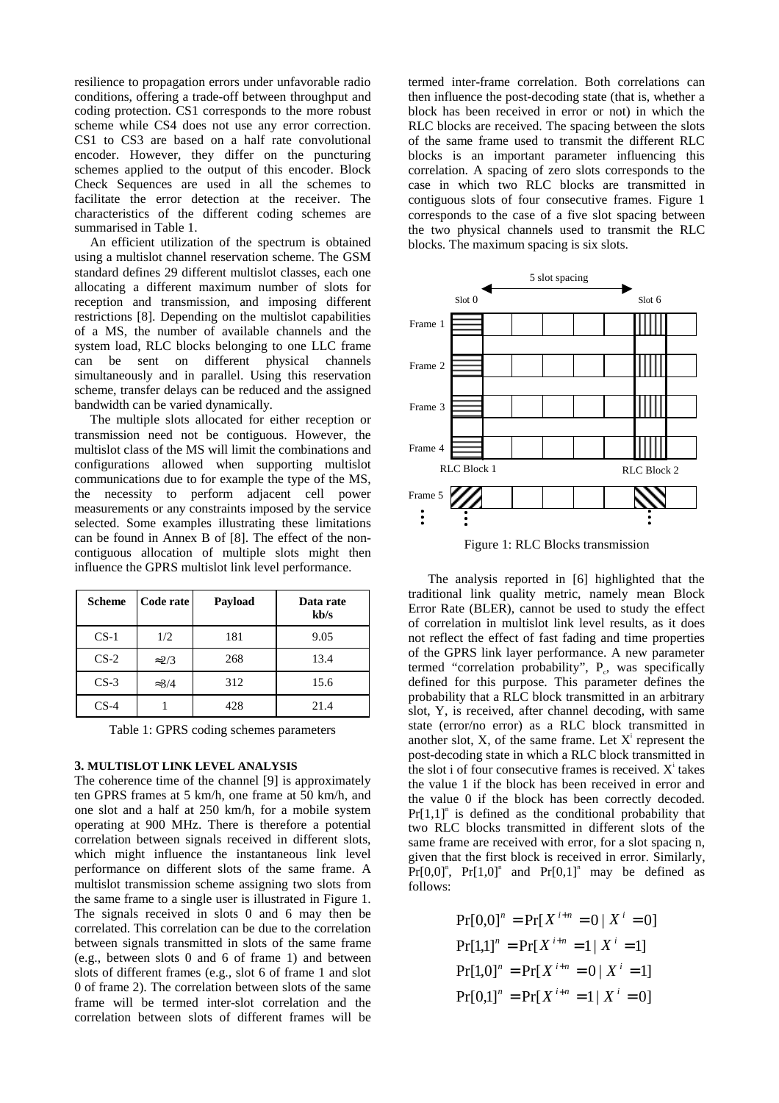resilience to propagation errors under unfavorable radio conditions, offering a trade-off between throughput and coding protection. CS1 corresponds to the more robust scheme while CS4 does not use any error correction. CS1 to CS3 are based on a half rate convolutional encoder. However, they differ on the puncturing schemes applied to the output of this encoder. Block Check Sequences are used in all the schemes to facilitate the error detection at the receiver. The characteristics of the different coding schemes are summarised in Table 1.

An efficient utilization of the spectrum is obtained using a multislot channel reservation scheme. The GSM standard defines 29 different multislot classes, each one allocating a different maximum number of slots for reception and transmission, and imposing different restrictions [8]. Depending on the multislot capabilities of a MS, the number of available channels and the system load, RLC blocks belonging to one LLC frame can be sent on different physical channels simultaneously and in parallel. Using this reservation scheme, transfer delays can be reduced and the assigned bandwidth can be varied dynamically.

The multiple slots allocated for either reception or transmission need not be contiguous. However, the multislot class of the MS will limit the combinations and configurations allowed when supporting multislot communications due to for example the type of the MS, the necessity to perform adjacent cell power measurements or any constraints imposed by the service selected. Some examples illustrating these limitations can be found in Annex B of [8]. The effect of the noncontiguous allocation of multiple slots might then influence the GPRS multislot link level performance.

| <b>Scheme</b> | Code rate     | Payload | Data rate<br>kb/s |
|---------------|---------------|---------|-------------------|
| $CS-1$        | 1/2           | 181     | 9.05              |
| $CS-2$        | $\approx$ 2/3 | 268     | 13.4              |
| $CS-3$        | $\approx 3/4$ | 312     | 15.6              |
| $CS-4$        |               | 428     | 21.4              |

Table 1: GPRS coding schemes parameters

#### **3. MULTISLOT LINK LEVEL ANALYSIS**

The coherence time of the channel [9] is approximately ten GPRS frames at 5 km/h, one frame at 50 km/h, and one slot and a half at 250 km/h, for a mobile system operating at 900 MHz. There is therefore a potential correlation between signals received in different slots, which might influence the instantaneous link level performance on different slots of the same frame. A multislot transmission scheme assigning two slots from the same frame to a single user is illustrated in Figure 1. The signals received in slots 0 and 6 may then be correlated. This correlation can be due to the correlation between signals transmitted in slots of the same frame (e.g., between slots 0 and 6 of frame 1) and between slots of different frames (e.g., slot 6 of frame 1 and slot 0 of frame 2). The correlation between slots of the same frame will be termed inter-slot correlation and the correlation between slots of different frames will be

termed inter-frame correlation. Both correlations can then influence the post-decoding state (that is, whether a block has been received in error or not) in which the RLC blocks are received. The spacing between the slots of the same frame used to transmit the different RLC blocks is an important parameter influencing this correlation. A spacing of zero slots corresponds to the case in which two RLC blocks are transmitted in contiguous slots of four consecutive frames. Figure 1 corresponds to the case of a five slot spacing between the two physical channels used to transmit the RLC blocks. The maximum spacing is six slots.



Figure 1: RLC Blocks transmission

The analysis reported in [6] highlighted that the traditional link quality metric, namely mean Block Error Rate (BLER), cannot be used to study the effect of correlation in multislot link level results, as it does not reflect the effect of fast fading and time properties of the GPRS link layer performance. A new parameter termed "correlation probability",  $P_c$ , was specifically defined for this purpose. This parameter defines the probability that a RLC block transmitted in an arbitrary slot, Y, is received, after channel decoding, with same state (error/no error) as a RLC block transmitted in another slot,  $X$ , of the same frame. Let  $X^i$  represent the post-decoding state in which a RLC block transmitted in the slot i of four consecutive frames is received.  $X^i$  takes the value 1 if the block has been received in error and the value 0 if the block has been correctly decoded.  $Pr[1,1]$ <sup>n</sup> is defined as the conditional probability that two RLC blocks transmitted in different slots of the same frame are received with error, for a slot spacing n, given that the first block is received in error. Similarly,  $Pr[0,0]$ <sup>n</sup>,  $Pr[1,0]$ <sup>n</sup> and  $Pr[0,1]$ <sup>n</sup> may be defined as follows:

> $Pr[0,1]$ <sup>n</sup> =  $Pr[X^{i+n} = 1 | X^{i} = 0]$  $Pr[1,0]^n = Pr[X^{i+n} = 0 | X^i = 1]$  $Pr[1,1]^n = Pr[X^{i+n} = 1 | X^i = 1]$  $\Pr[0,0]^n = \Pr[X^{i+n} = 0 \mid X^i = 0]$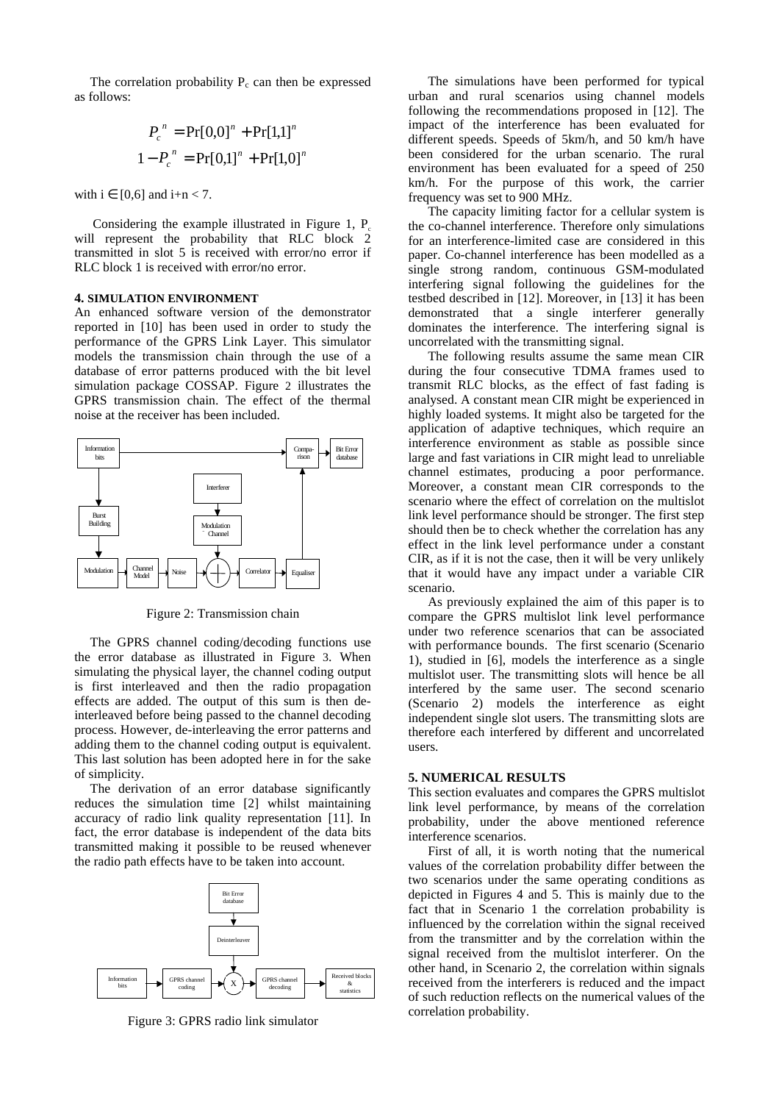The correlation probability  $P_c$  can then be expressed as follows:

$$
P_c^{n} = \Pr[0,0]^n + \Pr[1,1]^n
$$
  

$$
1 - P_c^{n} = \Pr[0,1]^n + \Pr[1,0]^n
$$

with  $i \in [0,6]$  and  $i+n < 7$ .

Considering the example illustrated in Figure 1, P will represent the probability that RLC block 2 transmitted in slot 5 is received with error/no error if RLC block 1 is received with error/no error.

### **4. SIMULATION ENVIRONMENT**

An enhanced software version of the demonstrator reported in [10] has been used in order to study the performance of the GPRS Link Layer. This simulator models the transmission chain through the use of a database of error patterns produced with the bit level simulation package COSSAP. Figure 2 illustrates the GPRS transmission chain. The effect of the thermal noise at the receiver has been included.



Figure 2: Transmission chain

The GPRS channel coding/decoding functions use the error database as illustrated in Figure 3. When simulating the physical layer, the channel coding output is first interleaved and then the radio propagation effects are added. The output of this sum is then deinterleaved before being passed to the channel decoding process. However, de-interleaving the error patterns and adding them to the channel coding output is equivalent. This last solution has been adopted here in for the sake of simplicity.

The derivation of an error database significantly reduces the simulation time [2] whilst maintaining accuracy of radio link quality representation [11]. In fact, the error database is independent of the data bits transmitted making it possible to be reused whenever the radio path effects have to be taken into account.



Figure 3: GPRS radio link simulator

The simulations have been performed for typical urban and rural scenarios using channel models following the recommendations proposed in [12]. The impact of the interference has been evaluated for different speeds. Speeds of 5km/h, and 50 km/h have been considered for the urban scenario. The rural environment has been evaluated for a speed of 250 km/h. For the purpose of this work, the carrier frequency was set to 900 MHz.

The capacity limiting factor for a cellular system is the co-channel interference. Therefore only simulations for an interference-limited case are considered in this paper. Co-channel interference has been modelled as a single strong random, continuous GSM-modulated interfering signal following the guidelines for the testbed described in [12]. Moreover, in [13] it has been demonstrated that a single interferer generally dominates the interference. The interfering signal is uncorrelated with the transmitting signal.

The following results assume the same mean CIR during the four consecutive TDMA frames used to transmit RLC blocks, as the effect of fast fading is analysed. A constant mean CIR might be experienced in highly loaded systems. It might also be targeted for the application of adaptive techniques, which require an interference environment as stable as possible since large and fast variations in CIR might lead to unreliable channel estimates, producing a poor performance. Moreover, a constant mean CIR corresponds to the scenario where the effect of correlation on the multislot link level performance should be stronger. The first step should then be to check whether the correlation has any effect in the link level performance under a constant CIR, as if it is not the case, then it will be very unlikely that it would have any impact under a variable CIR scenario.

As previously explained the aim of this paper is to compare the GPRS multislot link level performance under two reference scenarios that can be associated with performance bounds. The first scenario (Scenario 1), studied in [6], models the interference as a single multislot user. The transmitting slots will hence be all interfered by the same user. The second scenario (Scenario 2) models the interference as eight independent single slot users. The transmitting slots are therefore each interfered by different and uncorrelated users.

#### **5. NUMERICAL RESULTS**

This section evaluates and compares the GPRS multislot link level performance, by means of the correlation probability, under the above mentioned reference interference scenarios.

First of all, it is worth noting that the numerical values of the correlation probability differ between the two scenarios under the same operating conditions as depicted in Figures 4 and 5. This is mainly due to the fact that in Scenario 1 the correlation probability is influenced by the correlation within the signal received from the transmitter and by the correlation within the signal received from the multislot interferer. On the other hand, in Scenario 2, the correlation within signals received from the interferers is reduced and the impact of such reduction reflects on the numerical values of the correlation probability.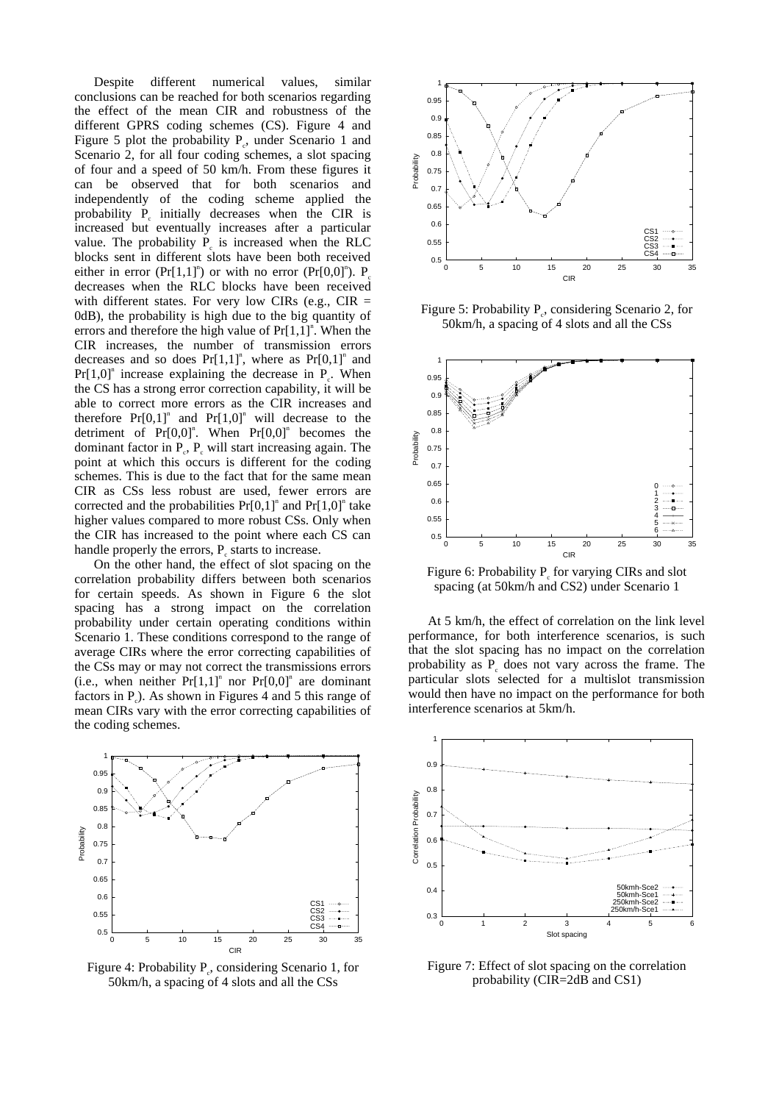Despite different numerical values, similar conclusions can be reached for both scenarios regarding the effect of the mean CIR and robustness of the different GPRS coding schemes (CS). Figure 4 and Figure 5 plot the probability  $P_c$ , under Scenario 1 and Scenario 2, for all four coding schemes, a slot spacing of four and a speed of 50 km/h. From these figures it can be observed that for both scenarios and independently of the coding scheme applied the probability  $P_c$  initially decreases when the CIR is increased but eventually increases after a particular value. The probability  $P_c$  is increased when the RLC blocks sent in different slots have been both received either in error (Pr[1,1]<sup>n</sup>) or with no error (Pr[0,0]<sup>n</sup>). P<sub>c</sub> decreases when the RLC blocks have been received with different states. For very low CIRs (e.g.,  $CIR =$ 0dB), the probability is high due to the big quantity of errors and therefore the high value of  $Pr[1,1]$ <sup>n</sup>. When the CIR increases, the number of transmission errors decreases and so does  $Pr[1,1]^n$ , where as  $Pr[0,1]^n$  and  $Pr[1,0]$ <sup>n</sup> increase explaining the decrease in  $P_c$ . When the CS has a strong error correction capability, it will be able to correct more errors as the CIR increases and therefore  $Pr[0,1]$ <sup>n</sup> and  $Pr[1,0]$ <sup>n</sup> will decrease to the detriment of  $Pr[0,0]$ <sup>n</sup>. When  $Pr[0,0]$ <sup>n</sup> becomes the dominant factor in  $P_c$ ,  $P_c$  will start increasing again. The point at which this occurs is different for the coding schemes. This is due to the fact that for the same mean CIR as CSs less robust are used, fewer errors are corrected and the probabilities  $Pr[0,1]$ <sup>n</sup> and  $Pr[1,0]$ <sup>n</sup> take higher values compared to more robust CSs. Only when the CIR has increased to the point where each CS can handle properly the errors,  $P_c$  starts to increase.

On the other hand, the effect of slot spacing on the correlation probability differs between both scenarios for certain speeds. As shown in Figure 6 the slot spacing has a strong impact on the correlation probability under certain operating conditions within Scenario 1. These conditions correspond to the range of average CIRs where the error correcting capabilities of the CSs may or may not correct the transmissions errors (i.e., when neither  $Pr[1,1]$ <sup>n</sup> nor  $Pr[0,0]$ <sup>n</sup> are dominant factors in  $P_e$ ). As shown in Figures 4 and 5 this range of mean CIRs vary with the error correcting capabilities of the coding schemes.



Figure 4: Probability P<sub>c</sub>, considering Scenario 1, for 50km/h, a spacing of 4 slots and all the CSs



Figure 5: Probability  $P_c$ , considering Scenario 2, for 50km/h, a spacing of 4 slots and all the CSs



Figure 6: Probability  $P_c$  for varying CIRs and slot spacing (at 50km/h and CS2) under Scenario 1

At 5 km/h, the effect of correlation on the link level performance, for both interference scenarios, is such that the slot spacing has no impact on the correlation probability as  $P_c$  does not vary across the frame. The particular slots selected for a multislot transmission would then have no impact on the performance for both interference scenarios at 5km/h.



Figure 7: Effect of slot spacing on the correlation probability (CIR=2dB and CS1)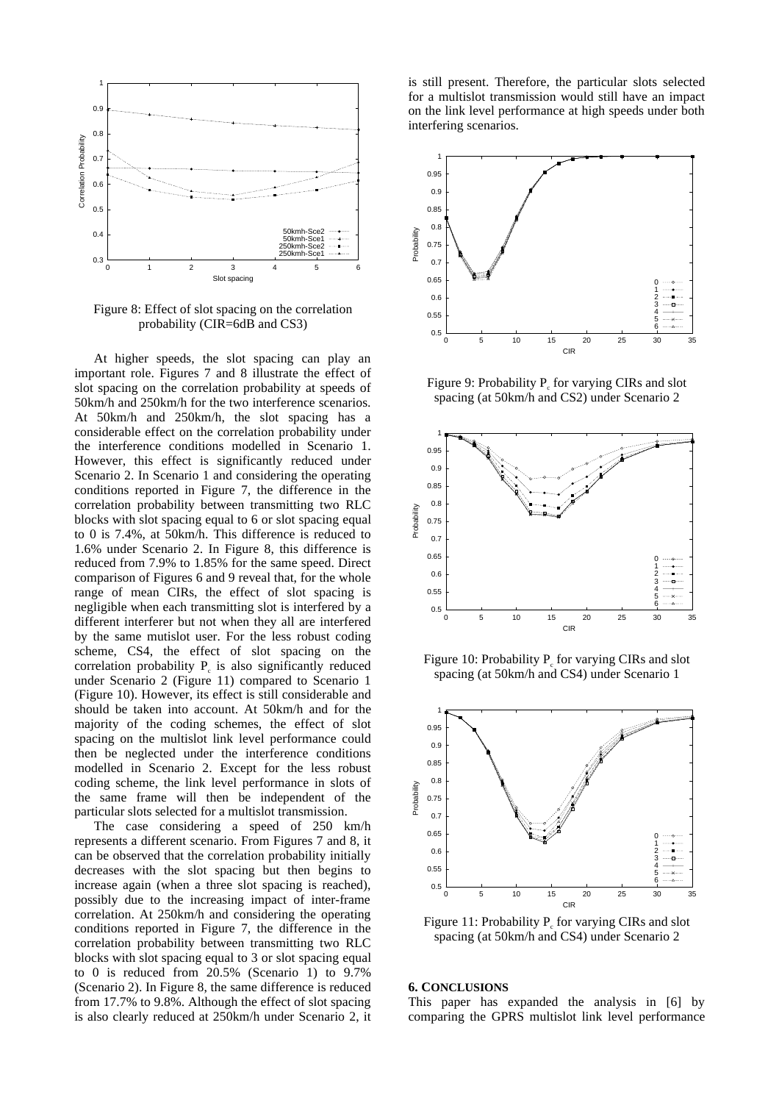

Figure 8: Effect of slot spacing on the correlation probability (CIR=6dB and CS3)

At higher speeds, the slot spacing can play an important role. Figures 7 and 8 illustrate the effect of slot spacing on the correlation probability at speeds of 50km/h and 250km/h for the two interference scenarios. At 50km/h and 250km/h, the slot spacing has a considerable effect on the correlation probability under the interference conditions modelled in Scenario 1. However, this effect is significantly reduced under Scenario 2. In Scenario 1 and considering the operating conditions reported in Figure 7, the difference in the correlation probability between transmitting two RLC blocks with slot spacing equal to 6 or slot spacing equal to 0 is 7.4%, at 50km/h. This difference is reduced to 1.6% under Scenario 2. In Figure 8, this difference is reduced from 7.9% to 1.85% for the same speed. Direct comparison of Figures 6 and 9 reveal that, for the whole range of mean CIRs, the effect of slot spacing is negligible when each transmitting slot is interfered by a different interferer but not when they all are interfered by the same mutislot user. For the less robust coding scheme, CS4, the effect of slot spacing on the correlation probability  $P_c$  is also significantly reduced under Scenario 2 (Figure 11) compared to Scenario 1 (Figure 10). However, its effect is still considerable and should be taken into account. At 50km/h and for the majority of the coding schemes, the effect of slot spacing on the multislot link level performance could then be neglected under the interference conditions modelled in Scenario 2. Except for the less robust coding scheme, the link level performance in slots of the same frame will then be independent of the particular slots selected for a multislot transmission.

The case considering a speed of 250 km/h represents a different scenario. From Figures 7 and 8, it can be observed that the correlation probability initially decreases with the slot spacing but then begins to increase again (when a three slot spacing is reached), possibly due to the increasing impact of inter-frame correlation. At 250km/h and considering the operating conditions reported in Figure 7, the difference in the correlation probability between transmitting two RLC blocks with slot spacing equal to 3 or slot spacing equal to 0 is reduced from 20.5% (Scenario 1) to 9.7% (Scenario 2). In Figure 8, the same difference is reduced from 17.7% to 9.8%. Although the effect of slot spacing is also clearly reduced at 250km/h under Scenario 2, it is still present. Therefore, the particular slots selected for a multislot transmission would still have an impact on the link level performance at high speeds under both interfering scenarios.



Figure 9: Probability  $P_c$  for varying CIRs and slot spacing (at 50km/h and CS2) under Scenario 2



Figure 10: Probability  $P_c$  for varying CIRs and slot spacing (at 50km/h and CS4) under Scenario 1



Figure 11: Probability  $P_c$  for varying CIRs and slot spacing (at 50km/h and CS4) under Scenario 2

#### **6. CONCLUSIONS**

This paper has expanded the analysis in [6] by comparing the GPRS multislot link level performance